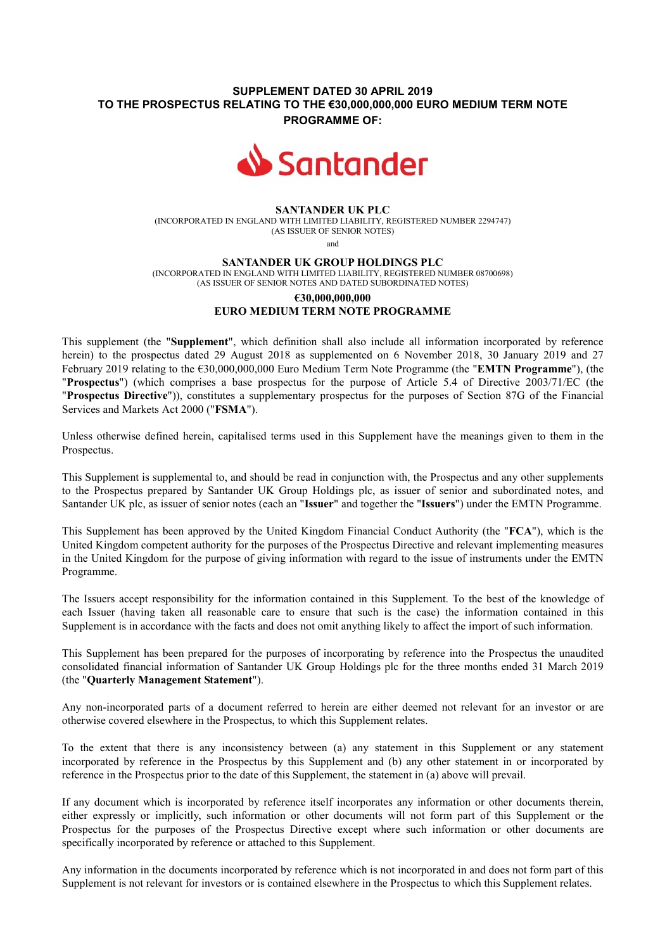## **SUPPLEMENT DATED 30 APRIL 2019 TO THE PROSPECTUS RELATING TO THE €30,000,000,000 EURO MEDIUM TERM NOTE PROGRAMME OF:**



#### **SANTANDER UK PLC**

(INCORPORATED IN ENGLAND WITH LIMITED LIABILITY, REGISTERED NUMBER 2294747) (AS ISSUER OF SENIOR NOTES)

and

#### **SANTANDER UK GROUP HOLDINGS PLC**

(INCORPORATED IN ENGLAND WITH LIMITED LIABILITY, REGISTERED NUMBER 08700698) (AS ISSUER OF SENIOR NOTES AND DATED SUBORDINATED NOTES)

# **€30,000,000,000 EURO MEDIUM TERM NOTE PROGRAMME**

This supplement (the "**Supplement**", which definition shall also include all information incorporated by reference herein) to the prospectus dated 29 August 2018 as supplemented on 6 November 2018, 30 January 2019 and 27 February 2019 relating to the €30,000,000,000 Euro Medium Term Note Programme (the "**EMTN Programme**"), (the "**Prospectus**") (which comprises a base prospectus for the purpose of Article 5.4 of Directive 2003/71/EC (the "**Prospectus Directive**")), constitutes a supplementary prospectus for the purposes of Section 87G of the Financial Services and Markets Act 2000 ("**FSMA**").

Unless otherwise defined herein, capitalised terms used in this Supplement have the meanings given to them in the Prospectus.

This Supplement is supplemental to, and should be read in conjunction with, the Prospectus and any other supplements to the Prospectus prepared by Santander UK Group Holdings plc, as issuer of senior and subordinated notes, and Santander UK plc, as issuer of senior notes (each an "**Issuer**" and together the "**Issuers**") under the EMTN Programme.

This Supplement has been approved by the United Kingdom Financial Conduct Authority (the "**FCA**"), which is the United Kingdom competent authority for the purposes of the Prospectus Directive and relevant implementing measures in the United Kingdom for the purpose of giving information with regard to the issue of instruments under the EMTN Programme.

The Issuers accept responsibility for the information contained in this Supplement. To the best of the knowledge of each Issuer (having taken all reasonable care to ensure that such is the case) the information contained in this Supplement is in accordance with the facts and does not omit anything likely to affect the import of such information.

This Supplement has been prepared for the purposes of incorporating by reference into the Prospectus the unaudited consolidated financial information of Santander UK Group Holdings plc for the three months ended 31 March 2019 (the "**Quarterly Management Statement**").

Any non-incorporated parts of a document referred to herein are either deemed not relevant for an investor or are otherwise covered elsewhere in the Prospectus, to which this Supplement relates.

To the extent that there is any inconsistency between (a) any statement in this Supplement or any statement incorporated by reference in the Prospectus by this Supplement and (b) any other statement in or incorporated by reference in the Prospectus prior to the date of this Supplement, the statement in (a) above will prevail.

If any document which is incorporated by reference itself incorporates any information or other documents therein, either expressly or implicitly, such information or other documents will not form part of this Supplement or the Prospectus for the purposes of the Prospectus Directive except where such information or other documents are specifically incorporated by reference or attached to this Supplement.

Any information in the documents incorporated by reference which is not incorporated in and does not form part of this Supplement is not relevant for investors or is contained elsewhere in the Prospectus to which this Supplement relates.